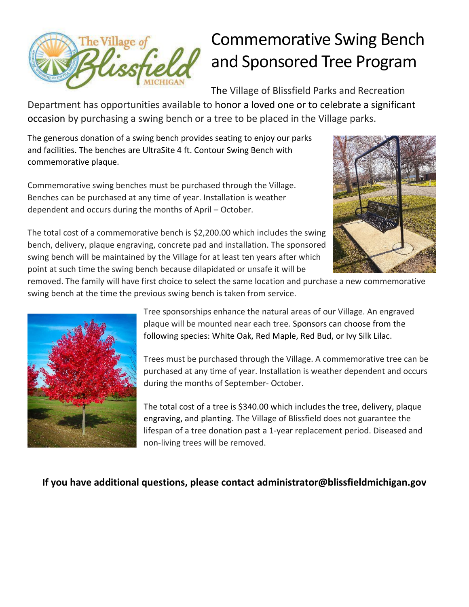

## Commemorative Swing Bench and Sponsored Tree Program

The Village of Blissfield Parks and Recreation

Department has opportunities available to honor a loved one or to celebrate a significant occasion by purchasing a swing bench or a tree to be placed in the Village parks.

The generous donation of a swing bench provides seating to enjoy our parks and facilities. The benches are UltraSite 4 ft. Contour Swing Bench with commemorative plaque.

Commemorative swing benches must be purchased through the Village. Benches can be purchased at any time of year. Installation is weather dependent and occurs during the months of April – October.



The total cost of a commemorative bench is \$2,200.00 which includes the swing bench, delivery, plaque engraving, concrete pad and installation. The sponsored swing bench will be maintained by the Village for at least ten years after which point at such time the swing bench because dilapidated or unsafe it will be

removed. The family will have first choice to select the same location and purchase a new commemorative swing bench at the time the previous swing bench is taken from service.



Tree sponsorships enhance the natural areas of our Village. An engraved plaque will be mounted near each tree. Sponsors can choose from the following species: White Oak, Red Maple, Red Bud, or Ivy Silk Lilac.

Trees must be purchased through the Village. A commemorative tree can be purchased at any time of year. Installation is weather dependent and occurs during the months of September- October.

The total cost of a tree is \$340.00 which includes the tree, delivery, plaque engraving, and planting. The Village of Blissfield does not guarantee the lifespan of a tree donation past a 1-year replacement period. Diseased and non-living trees will be removed.

## **If you have additional questions, please contact administrator@blissfieldmichigan.gov**